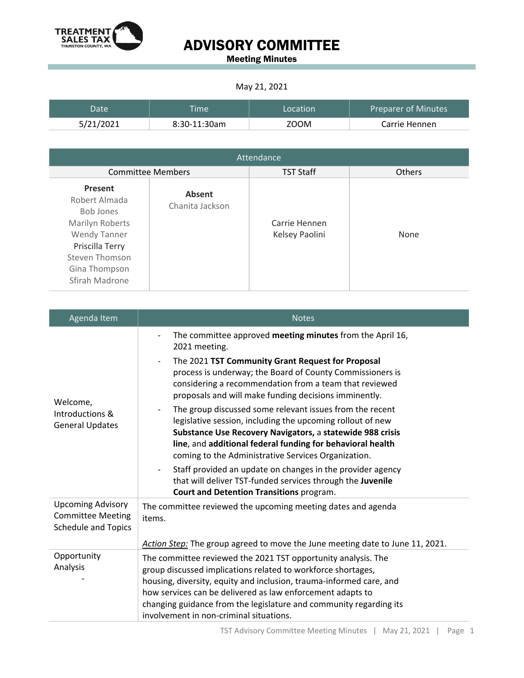

### ADVISORY COMMITTEE

Meeting Minutes

#### May 21, 2021

| Date      | <b>Time</b>  | Location | <b>Preparer of Minutes</b> |
|-----------|--------------|----------|----------------------------|
| 5/21/2021 | 8:30-11:30am | ZOOM     | Carrie Hennen              |

| Attendance                                                                                                                                              |                           |                                 |               |  |
|---------------------------------------------------------------------------------------------------------------------------------------------------------|---------------------------|---------------------------------|---------------|--|
| <b>Committee Members</b>                                                                                                                                |                           | <b>TST Staff</b>                | <b>Others</b> |  |
| Present<br>Robert Almada<br>Bob Jones<br>Marilyn Roberts<br><b>Wendy Tanner</b><br>Priscilla Terry<br>Steven Thomson<br>Gina Thompson<br>Sfirah Madrone | Absent<br>Chanita Jackson | Carrie Hennen<br>Kelsey Paolini | None          |  |

| Agenda Item                                                                        | <b>Notes</b>                                                                                                                                                                                                                                                                                                                                                                                                                                            |  |
|------------------------------------------------------------------------------------|---------------------------------------------------------------------------------------------------------------------------------------------------------------------------------------------------------------------------------------------------------------------------------------------------------------------------------------------------------------------------------------------------------------------------------------------------------|--|
| Welcome,<br>Introductions &<br><b>General Updates</b>                              | The committee approved meeting minutes from the April 16,<br>2021 meeting.<br>The 2021 TST Community Grant Request for Proposal<br>$\overline{\phantom{a}}$<br>process is underway; the Board of County Commissioners is<br>considering a recommendation from a team that reviewed<br>proposals and will make funding decisions imminently.<br>The group discussed some relevant issues from the recent                                                 |  |
|                                                                                    | legislative session, including the upcoming rollout of new<br>Substance Use Recovery Navigators, a statewide 988 crisis<br>line, and additional federal funding for behavioral health<br>coming to the Administrative Services Organization.<br>Staff provided an update on changes in the provider agency<br>$\overline{\phantom{a}}$<br>that will deliver TST-funded services through the Juvenile<br><b>Court and Detention Transitions program.</b> |  |
| <b>Upcoming Advisory</b><br><b>Committee Meeting</b><br><b>Schedule and Topics</b> | The committee reviewed the upcoming meeting dates and agenda<br>items.                                                                                                                                                                                                                                                                                                                                                                                  |  |
| Opportunity                                                                        | Action Step: The group agreed to move the June meeting date to June 11, 2021.                                                                                                                                                                                                                                                                                                                                                                           |  |
| Analysis                                                                           | The committee reviewed the 2021 TST opportunity analysis. The<br>group discussed implications related to workforce shortages,                                                                                                                                                                                                                                                                                                                           |  |
|                                                                                    | housing, diversity, equity and inclusion, trauma-informed care, and                                                                                                                                                                                                                                                                                                                                                                                     |  |
|                                                                                    | how services can be delivered as law enforcement adapts to                                                                                                                                                                                                                                                                                                                                                                                              |  |
|                                                                                    | changing guidance from the legislature and community regarding its<br>involvement in non-criminal situations.                                                                                                                                                                                                                                                                                                                                           |  |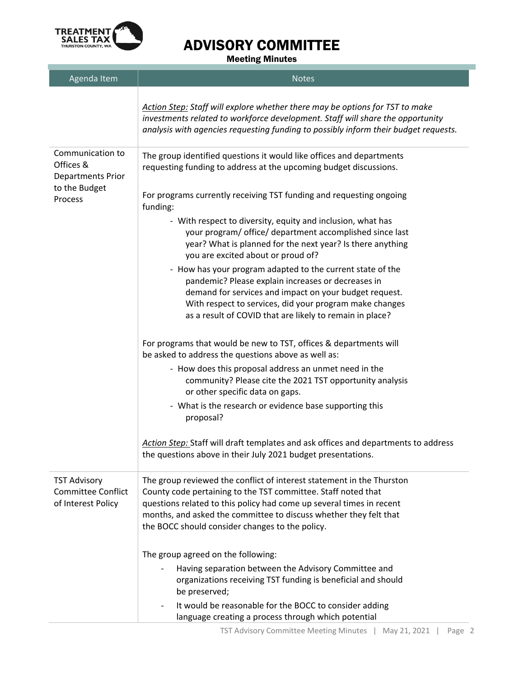

## ADVISORY COMMITTEE

Meeting Minutes

| Agenda Item                                                                           | <b>Notes</b>                                                                                                                                                                                                                                                                                                                           |
|---------------------------------------------------------------------------------------|----------------------------------------------------------------------------------------------------------------------------------------------------------------------------------------------------------------------------------------------------------------------------------------------------------------------------------------|
|                                                                                       | Action Step: Staff will explore whether there may be options for TST to make<br>investments related to workforce development. Staff will share the opportunity<br>analysis with agencies requesting funding to possibly inform their budget requests.                                                                                  |
| Communication to<br>Offices &<br><b>Departments Prior</b><br>to the Budget<br>Process | The group identified questions it would like offices and departments<br>requesting funding to address at the upcoming budget discussions.                                                                                                                                                                                              |
|                                                                                       | For programs currently receiving TST funding and requesting ongoing<br>funding:                                                                                                                                                                                                                                                        |
|                                                                                       | - With respect to diversity, equity and inclusion, what has<br>your program/ office/ department accomplished since last<br>year? What is planned for the next year? Is there anything<br>you are excited about or proud of?                                                                                                            |
|                                                                                       | - How has your program adapted to the current state of the<br>pandemic? Please explain increases or decreases in<br>demand for services and impact on your budget request.<br>With respect to services, did your program make changes<br>as a result of COVID that are likely to remain in place?                                      |
|                                                                                       | For programs that would be new to TST, offices & departments will<br>be asked to address the questions above as well as:                                                                                                                                                                                                               |
|                                                                                       | - How does this proposal address an unmet need in the<br>community? Please cite the 2021 TST opportunity analysis<br>or other specific data on gaps.                                                                                                                                                                                   |
|                                                                                       | - What is the research or evidence base supporting this<br>proposal?                                                                                                                                                                                                                                                                   |
|                                                                                       | Action Step: Staff will draft templates and ask offices and departments to address<br>the questions above in their July 2021 budget presentations.                                                                                                                                                                                     |
| <b>TST Advisory</b><br><b>Committee Conflict</b><br>of Interest Policy                | The group reviewed the conflict of interest statement in the Thurston<br>County code pertaining to the TST committee. Staff noted that<br>questions related to this policy had come up several times in recent<br>months, and asked the committee to discuss whether they felt that<br>the BOCC should consider changes to the policy. |
|                                                                                       | The group agreed on the following:                                                                                                                                                                                                                                                                                                     |
|                                                                                       | Having separation between the Advisory Committee and<br>organizations receiving TST funding is beneficial and should<br>be preserved;                                                                                                                                                                                                  |
|                                                                                       | It would be reasonable for the BOCC to consider adding<br>language creating a process through which potential                                                                                                                                                                                                                          |